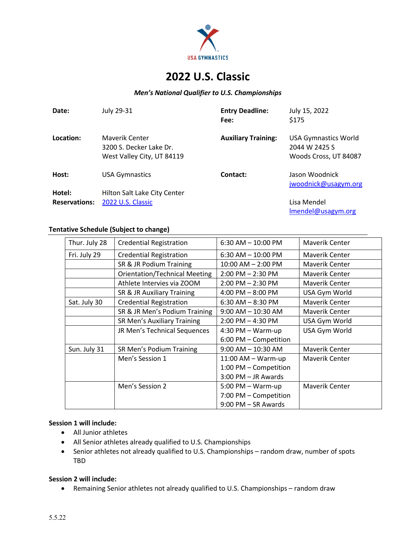

# **2022 U.S. Classic**

### *Men's National Qualifier to U.S. Championships*

| Date:                | July 29-31                                                              | <b>Entry Deadline:</b><br>Fee: | July 15, 2022<br>\$175                                                |
|----------------------|-------------------------------------------------------------------------|--------------------------------|-----------------------------------------------------------------------|
| Location:            | Mayerik Center<br>3200 S. Decker Lake Dr.<br>West Valley City, UT 84119 | <b>Auxiliary Training:</b>     | <b>USA Gymnastics World</b><br>2044 W 2425 S<br>Woods Cross, UT 84087 |
| Host:                | <b>USA Gymnastics</b>                                                   | Contact:                       | Jason Woodnick<br>jwoodnick@usagym.org                                |
| Hotel:               | Hilton Salt Lake City Center                                            |                                |                                                                       |
| <b>Reservations:</b> | 2022 U.S. Classic                                                       |                                | Lisa Mendel<br>Imendel@usagym.org                                     |

#### **Tentative Schedule (Subject to change)**

| Thur. July 28 | <b>Credential Registration</b>       | $6:30$ AM $- 10:00$ PM | Maverik Center |  |
|---------------|--------------------------------------|------------------------|----------------|--|
| Fri. July 29  | <b>Credential Registration</b>       | $6:30$ AM $-10:00$ PM  | Maverik Center |  |
|               | SR & JR Podium Training              | $10:00$ AM $- 2:00$ PM | Maverik Center |  |
|               | <b>Orientation/Technical Meeting</b> | $2:00$ PM $- 2:30$ PM  | Maverik Center |  |
|               | Athlete Intervies via ZOOM           | $2:00$ PM $- 2:30$ PM  | Maverik Center |  |
|               | SR & JR Auxiliary Training           | $4:00$ PM $-8:00$ PM   | USA Gym World  |  |
| Sat. July 30  | <b>Credential Registration</b>       | $6:30$ AM $-8:30$ PM   | Maverik Center |  |
|               | SR & JR Men's Podium Training        | $9:00$ AM $- 10:30$ AM | Maverik Center |  |
|               | <b>SR Men's Auxiliary Training</b>   | $2:00$ PM $-$ 4:30 PM  | USA Gym World  |  |
|               | JR Men's Technical Sequences         | $4:30$ PM $-$ Warm-up  | USA Gym World  |  |
|               |                                      | 6:00 PM - Competition  |                |  |
| Sun. July 31  | SR Men's Podium Training             | $9:00$ AM $-$ 10:30 AM | Maverik Center |  |
|               | Men's Session 1                      | $11:00$ AM $-$ Warm-up | Maverik Center |  |
|               |                                      | 1:00 PM - Competition  |                |  |
|               |                                      | 3:00 PM - JR Awards    |                |  |
|               | Men's Session 2                      | $5:00$ PM $-$ Warm-up  | Maverik Center |  |
|               |                                      | 7:00 PM - Competition  |                |  |
|               |                                      | 9:00 PM - SR Awards    |                |  |

## **Session 1 will include:**

- All Junior athletes
- All Senior athletes already qualified to U.S. Championships
- Senior athletes not already qualified to U.S. Championships random draw, number of spots TBD

### **Session 2 will include:**

• Remaining Senior athletes not already qualified to U.S. Championships – random draw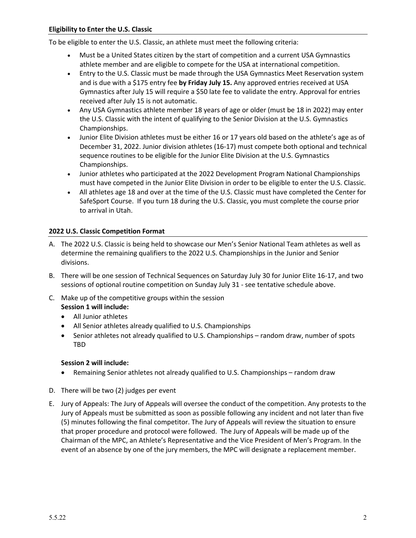To be eligible to enter the U.S. Classic, an athlete must meet the following criteria:

- Must be a United States citizen by the start of competition and a current USA Gymnastics athlete member and are eligible to compete for the USA at international competition.
- Entry to the U.S. Classic must be made through the USA Gymnastics Meet Reservation system and is due with a \$175 entry fee **by Friday July 15.** Any approved entries received at USA Gymnastics after July 15 will require a \$50 late fee to validate the entry. Approval for entries received after July 15 is not automatic.
- Any USA Gymnastics athlete member 18 years of age or older (must be 18 in 2022) may enter the U.S. Classic with the intent of qualifying to the Senior Division at the U.S. Gymnastics Championships.
- Junior Elite Division athletes must be either 16 or 17 years old based on the athlete's age as of December 31, 2022. Junior division athletes (16-17) must compete both optional and technical sequence routines to be eligible for the Junior Elite Division at the U.S. Gymnastics Championships.
- Junior athletes who participated at the 2022 Development Program National Championships must have competed in the Junior Elite Division in order to be eligible to enter the U.S. Classic.
- All athletes age 18 and over at the time of the U.S. Classic must have completed the Center for SafeSport Course. If you turn 18 during the U.S. Classic, you must complete the course prior to arrival in Utah.

### **2022 U.S. Classic Competition Format**

- A. The 2022 U.S. Classic is being held to showcase our Men's Senior National Team athletes as well as determine the remaining qualifiers to the 2022 U.S. Championships in the Junior and Senior divisions.
- B. There will be one session of Technical Sequences on Saturday July 30 for Junior Elite 16-17, and two sessions of optional routine competition on Sunday July 31 - see tentative schedule above.
- C. Make up of the competitive groups within the session **Session 1 will include:**
	- All Junior athletes
	- All Senior athletes already qualified to U.S. Championships
	- Senior athletes not already qualified to U.S. Championships random draw, number of spots TBD

### **Session 2 will include:**

- Remaining Senior athletes not already qualified to U.S. Championships random draw
- D. There will be two (2) judges per event
- E. Jury of Appeals: The Jury of Appeals will oversee the conduct of the competition. Any protests to the Jury of Appeals must be submitted as soon as possible following any incident and not later than five (5) minutes following the final competitor. The Jury of Appeals will review the situation to ensure that proper procedure and protocol were followed. The Jury of Appeals will be made up of the Chairman of the MPC, an Athlete's Representative and the Vice President of Men's Program. In the event of an absence by one of the jury members, the MPC will designate a replacement member.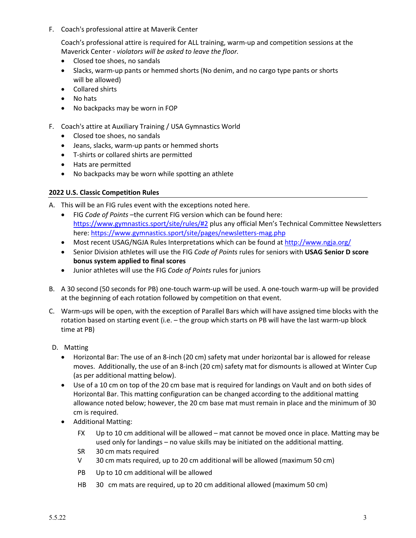F. Coach's professional attire at Maverik Center

Coach's professional attire is required for ALL training, warm-up and competition sessions at the Maverick Center - *violators will be asked to leave the floor.*

- Closed toe shoes, no sandals
- Slacks, warm-up pants or hemmed shorts (No denim, and no cargo type pants or shorts will be allowed)
- Collared shirts
- No hats
- No backpacks may be worn in FOP
- F. Coach's attire at Auxiliary Training / USA Gymnastics World
	- Closed toe shoes, no sandals
	- Jeans, slacks, warm-up pants or hemmed shorts
	- T-shirts or collared shirts are permitted
	- Hats are permitted
	- No backpacks may be worn while spotting an athlete

### **2022 U.S. Classic Competition Rules**

- A. This will be an FIG rules event with the exceptions noted here.
	- FIG *Code of Points* –the current FIG version which can be found here: https://www.gymnastics.sport/site/rules/#2 plus any official Men's Technical Committee Newsletters here: https://www.gymnastics.sport/site/pages/newsletters-mag.php
	- Most recent USAG/NGJA Rules Interpretations which can be found at http://www.ngja.org/
	- Senior Division athletes will use the FIG *Code of Points* rules for seniors with **USAG Senior D score bonus system applied to final scores**
	- Junior athletes will use the FIG *Code of Points* rules for juniors
- B. A 30 second (50 seconds for PB) one-touch warm-up will be used. A one-touch warm-up will be provided at the beginning of each rotation followed by competition on that event.
- C. Warm-ups will be open, with the exception of Parallel Bars which will have assigned time blocks with the rotation based on starting event (i.e. – the group which starts on PB will have the last warm-up block time at PB)
- D. Matting
	- Horizontal Bar: The use of an 8-inch (20 cm) safety mat under horizontal bar is allowed for release moves. Additionally, the use of an 8-inch (20 cm) safety mat for dismounts is allowed at Winter Cup (as per additional matting below).
	- Use of a 10 cm on top of the 20 cm base mat is required for landings on Vault and on both sides of Horizontal Bar. This matting configuration can be changed according to the additional matting allowance noted below; however, the 20 cm base mat must remain in place and the minimum of 30 cm is required.
	- Additional Matting:
		- FX Up to 10 cm additional will be allowed – mat cannot be moved once in place. Matting may be used only for landings – no value skills may be initiated on the additional matting.
		- SR 30 cm mats required
		- V 30 cm mats required, up to 20 cm additional will be allowed (maximum 50 cm)
		- PB Up to 10 cm additional will be allowed
		- HB 30 cm mats are required, up to 20 cm additional allowed (maximum 50 cm)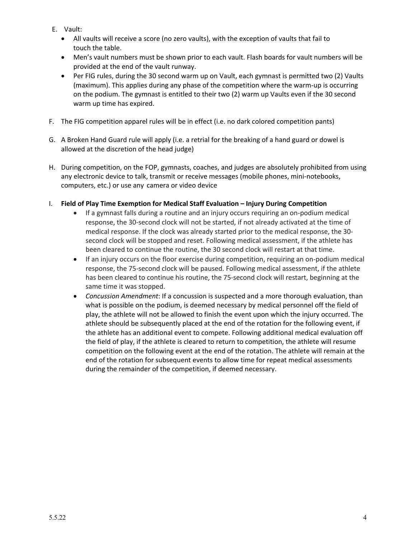- E. Vault:
	- All vaults will receive a score (no zero vaults), with the exception of vaults that fail to touch the table.
	- Men's vault numbers must be shown prior to each vault. Flash boards for vault numbers will be provided at the end of the vault runway.
	- Per FIG rules, during the 30 second warm up on Vault, each gymnast is permitted two (2) Vaults (maximum). This applies during any phase of the competition where the warm-up is occurring on the podium. The gymnast is entitled to their two (2) warm up Vaults even if the 30 second warm up time has expired.
- F. The FIG competition apparel rules will be in effect (i.e. no dark colored competition pants)
- G. A Broken Hand Guard rule will apply (i.e. a retrial for the breaking of a hand guard or dowel is allowed at the discretion of the head judge)
- H. During competition, on the FOP, gymnasts, coaches, and judges are absolutely prohibited from using any electronic device to talk, transmit or receive messages (mobile phones, mini-notebooks, computers, etc.) or use any camera or video device
- I. **Field of Play Time Exemption for Medical Staff Evaluation – Injury During Competition** 
	- If a gymnast falls during a routine and an injury occurs requiring an on-podium medical response, the 30-second clock will not be started, if not already activated at the time of medical response. If the clock was already started prior to the medical response, the 30 second clock will be stopped and reset. Following medical assessment, if the athlete has been cleared to continue the routine, the 30 second clock will restart at that time.
	- If an injury occurs on the floor exercise during competition, requiring an on-podium medical response, the 75-second clock will be paused. Following medical assessment, if the athlete has been cleared to continue his routine, the 75-second clock will restart, beginning at the same time it was stopped.
	- *Concussion Amendment*: If a concussion is suspected and a more thorough evaluation, than what is possible on the podium, is deemed necessary by medical personnel off the field of play, the athlete will not be allowed to finish the event upon which the injury occurred. The athlete should be subsequently placed at the end of the rotation for the following event, if the athlete has an additional event to compete. Following additional medical evaluation off the field of play, if the athlete is cleared to return to competition, the athlete will resume competition on the following event at the end of the rotation. The athlete will remain at the end of the rotation for subsequent events to allow time for repeat medical assessments during the remainder of the competition, if deemed necessary.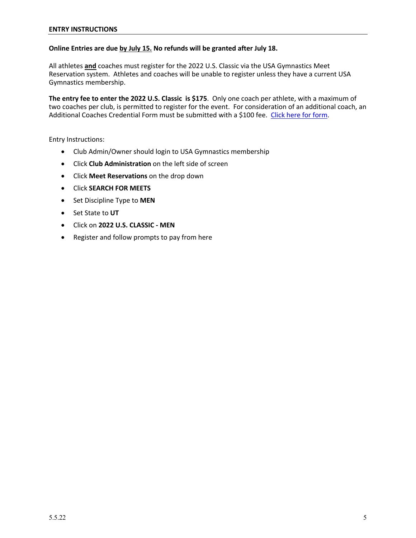## **Online Entries are due by July 15. No refunds will be granted after July 18.**

All athletes **and** coaches must register for the 2022 U.S. Classic via the USA Gymnastics Meet Reservation system. Athletes and coaches will be unable to register unless they have a current USA Gymnastics membership.

**The entry fee to enter the 2022 U.S. Classic is \$175**. Only one coach per athlete, with a maximum of two coaches per club, is permitted to register for the event. For consideration of an additional coach, an Additional Coaches Credential Form must be submitted with a \$100 fee. [Click here for form.](https://usagym.org/PDFs/Forms/Men/addlCoachCredential.pdf)

Entry Instructions:

- Club Admin/Owner should login to USA Gymnastics membership
- Click **Club Administration** on the left side of screen
- Click **Meet Reservations** on the drop down
- Click **SEARCH FOR MEETS**
- Set Discipline Type to **MEN**
- Set State to **UT**
- Click on **2022 U.S. CLASSIC - MEN**
- Register and follow prompts to pay from here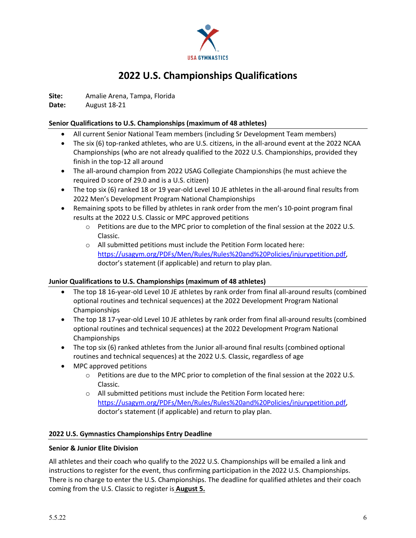

# **2022 U.S. Championships Qualifications**

**Site:** Amalie Arena, Tampa, Florida

**Date:** August 18-21

### **Senior Qualifications to U.S. Championships (maximum of 48 athletes)**

- All current Senior National Team members (including Sr Development Team members)
- The six (6) top-ranked athletes, who are U.S. citizens, in the all-around event at the 2022 NCAA Championships (who are not already qualified to the 2022 U.S. Championships, provided they finish in the top-12 all around
- The all-around champion from 2022 USAG Collegiate Championships (he must achieve the required D score of 29.0 and is a U.S. citizen)
- The top six (6) ranked 18 or 19 year-old Level 10 JE athletes in the all-around final results from 2022 Men's Development Program National Championships
- Remaining spots to be filled by athletes in rank order from the men's 10-point program final results at the 2022 U.S. Classic or MPC approved petitions
	- o Petitions are due to the MPC prior to completion of the final session at the 2022 U.S. Classic.
	- o All submitted petitions must include the Petition Form located here: https://usagym.org/PDFs/Men/Rules/Rules%20and%20Policies/injurypetition.pdf, doctor's statement (if applicable) and return to play plan.

## **Junior Qualifications to U.S. Championships (maximum of 48 athletes)**

- The top 18 16-year-old Level 10 JE athletes by rank order from final all-around results (combined optional routines and technical sequences) at the 2022 Development Program National Championships
- The top 18 17-year-old Level 10 JE athletes by rank order from final all-around results (combined optional routines and technical sequences) at the 2022 Development Program National Championships
- The top six (6) ranked athletes from the Junior all-around final results (combined optional routines and technical sequences) at the 2022 U.S. Classic, regardless of age
- MPC approved petitions
	- $\circ$  Petitions are due to the MPC prior to completion of the final session at the 2022 U.S. Classic.
	- o All submitted petitions must include the Petition Form located here: https://usagym.org/PDFs/Men/Rules/Rules%20and%20Policies/injurypetition.pdf, doctor's statement (if applicable) and return to play plan.

## **2022 U.S. Gymnastics Championships Entry Deadline**

### **Senior & Junior Elite Division**

All athletes and their coach who qualify to the 2022 U.S. Championships will be emailed a link and instructions to register for the event, thus confirming participation in the 2022 U.S. Championships. There is no charge to enter the U.S. Championships. The deadline for qualified athletes and their coach coming from the U.S. Classic to register is **August 5.**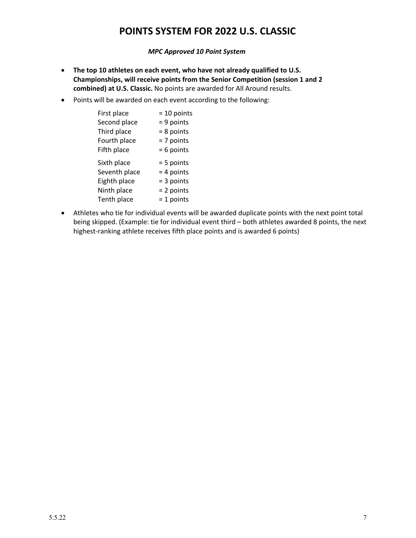# **POINTS SYSTEM FOR 2022 U.S. CLASSIC**

*MPC Approved 10 Point System* 

- **The top 10 athletes on each event, who have not already qualified to U.S. Championships, will receive points from the Senior Competition (session 1 and 2 combined) at U.S. Classic.** No points are awarded for All Around results.
- Points will be awarded on each event according to the following:

| First place   | $= 10$ points |
|---------------|---------------|
| Second place  | $= 9$ points  |
| Third place   | $= 8$ points  |
| Fourth place  | $= 7$ points  |
| Fifth place   | $= 6$ points  |
|               |               |
| Sixth place   | $= 5$ points  |
| Seventh place | $= 4$ points  |
| Eighth place  | $=$ 3 points  |
| Ninth place   | $= 2$ points  |

• Athletes who tie for individual events will be awarded duplicate points with the next point total being skipped. (Example: tie for individual event third – both athletes awarded 8 points, the next highest-ranking athlete receives fifth place points and is awarded 6 points)